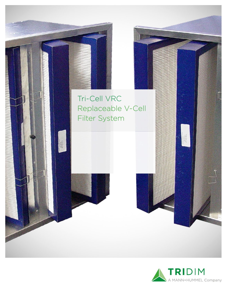

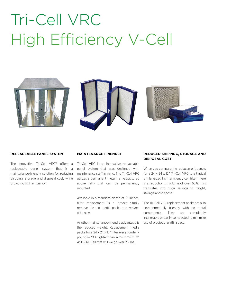## Tri-Cell VRC High Efficiency V-Cell







#### **REPLACEABLE PANEL SYSTEM**

The innovative Tri-Cell VRC™ offers a replaceable panel system that is a maintenance-friendly solution for reducing shipping, storage and disposal cost, while providing high efficiency.

#### **MAINTENANCE FRIENDLY**

Tri-Cell VRC is an innovative replaceable panel system that was designed with maintenance staff in mind. The Tri-Cell VRC utilizes a permanent metal frame (pictured above left) that can be permanently mounted.

Available in a standard depth of 12 inches, filter replacement is a breeze—simply remove the old media packs and replace with new.

Another maintenance-friendly advantage is the reduced weight. Replacement media packs for a 24 x 24 x 12" filter weigh under 7 pounds—70% lighter than a 24 x 24 x 12" ASHRAE Cell that will weigh over 23 lbs.

## **REDUCED SHIPPING, STORAGE AND DISPOSAL COST**

When you compare the replacement panels for a 24 x 24 x 12" Tri-Cell VRC to a typical similar-sized high efficiency cell filter, there is a reduction in volume of over 65%. This translates into huge savings in freight, storage and disposal.

The Tri-Cell VRC replacement packs are also environmentally friendly with no metal components. They are completely incinerable or easily compacted to minimize use of precious landfill space.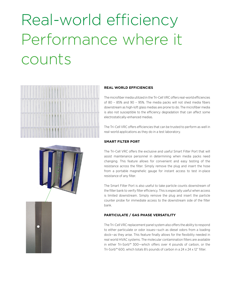# Real-world efficiency Performance where it counts



### **REAL WORLD EFFICIENCIES**

The microfiber media utilized in the Tri-Cell VRC offers real-world efficiencies of 80 – 85% and 90 – 95%. The media packs will not shed media fibers downstream as high-loft glass medias are prone to do. The microfiber media is also not susceptible to the efficiency degradation that can affect some electrostatically-enhanced medias.

The Tri-Cell VRC offers efficiencies that can be trusted to perform as well in real-world applications as they do in a test laboratory.

## **SMART FILTER PORT**

The Tri-Cell VRC offers the exclusive and useful Smart Filter Port that will assist maintenance personnel in determining when media packs need changing. This feature allows for convenient and easy testing of the resistance across the filter. Simply remove the plug and insert the hose from a portable magnehelic gauge for instant access to test in-place resistance of any filter.

The Smart Filter Port is also useful to take particle counts downstream of the filter bank to verify filter efficiency. This is especially useful when access is limited downstream. Simply remove the plug and insert the particle counter probe for immediate access to the downstream side of the filter bank.

## **PARTICULATE / GAS PHASE VERSATILITY**

The Tri-Cell VRC replacement panel system also offers the ability to respond to either particulate or odor issues—such as diesel odors from a loading dock—as they arise. This feature finally allows for the flexibility needed in real world HVAC systems. The molecular contamination filters are available in either Tri-Sorb™ 300—which offers over 4 pounds of carbon, or the Tri-Sorb™ 600, which totals 8½ pounds of carbon in a 24 x 24 x 12" filter.